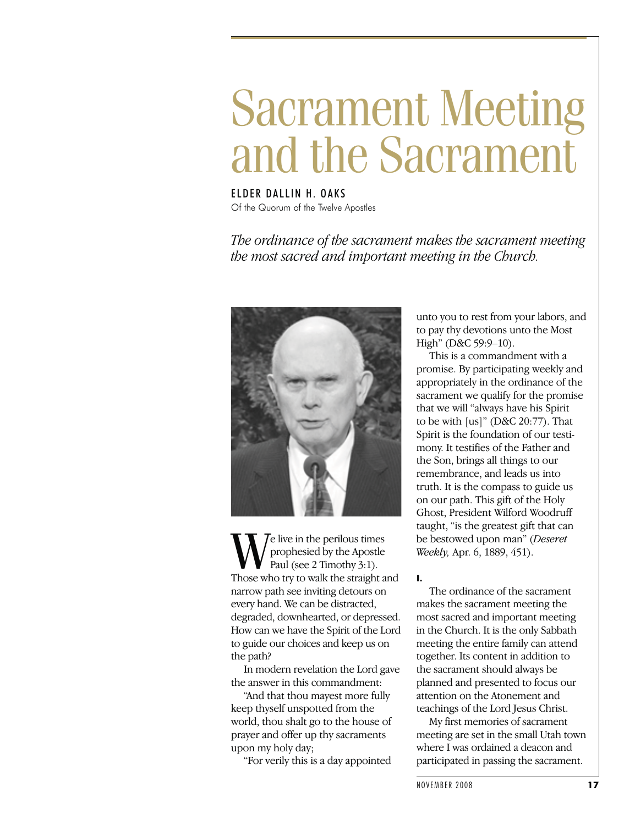# Sacrament Meeting and the Sacrament

ELDER DALLIN H. OAKS Of the Quorum of the Twelve Apostles

*The ordinance of the sacrament makes the sacrament meeting the most sacred and important meeting in the Church.*



We live in the perilous times<br>prophesied by the Apostle<br>Paul (see 2 Timothy 3:1).<br>Those who try to walk the straight and prophesied by the Apostle Paul (see 2 Timothy 3:1). narrow path see inviting detours on every hand. We can be distracted, degraded, downhearted, or depressed. How can we have the Spirit of the Lord to guide our choices and keep us on the path?

In modern revelation the Lord gave the answer in this commandment:

"And that thou mayest more fully keep thyself unspotted from the world, thou shalt go to the house of prayer and offer up thy sacraments upon my holy day;

"For verily this is a day appointed

unto you to rest from your labors, and to pay thy devotions unto the Most High" (D&C 59:9-10).

This is a commandment with a promise. By participating weekly and appropriately in the ordinance of the sacrament we qualify for the promise that we will "always have his Spirit to be with [us]" (D&C 20:77). That Spirit is the foundation of our testimony. It testifies of the Father and the Son, brings all things to our remembrance, and leads us into truth. It is the compass to guide us on our path. This gift of the Holy Ghost, President Wilford Woodruff taught, "is the greatest gift that can be bestowed upon man" (*Deseret Weekly,* Apr. 6, 1889, 451).

**I.**

The ordinance of the sacrament makes the sacrament meeting the most sacred and important meeting in the Church. It is the only Sabbath meeting the entire family can attend together. Its content in addition to the sacrament should always be planned and presented to focus our attention on the Atonement and teachings of the Lord Jesus Christ.

My first memories of sacrament meeting are set in the small Utah town where I was ordained a deacon and participated in passing the sacrament.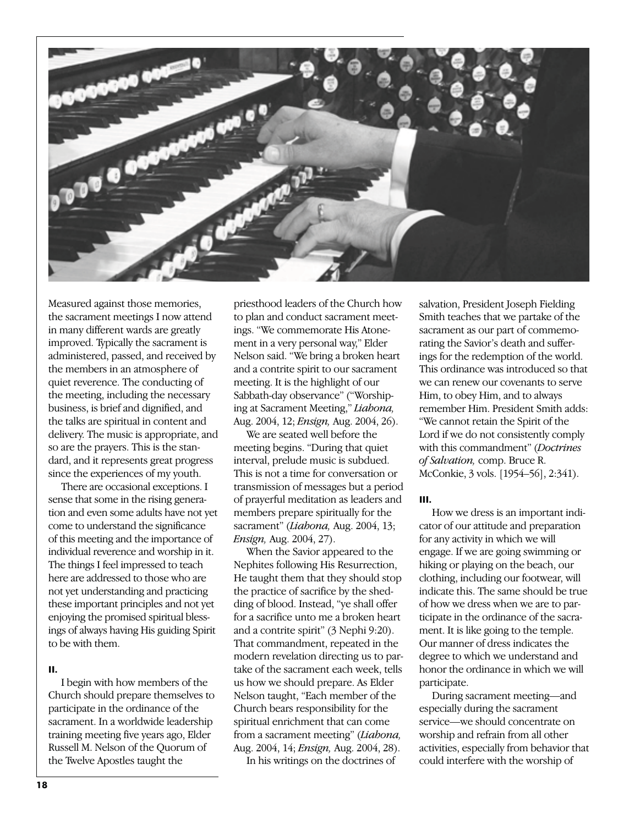

Measured against those memories, the sacrament meetings I now attend in many different wards are greatly improved. Typically the sacrament is administered, passed, and received by the members in an atmosphere of quiet reverence. The conducting of the meeting, including the necessary business, is brief and dignified, and the talks are spiritual in content and delivery. The music is appropriate, and so are the prayers. This is the standard, and it represents great progress since the experiences of my youth.

There are occasional exceptions. I sense that some in the rising generation and even some adults have not yet come to understand the significance of this meeting and the importance of individual reverence and worship in it. The things I feel impressed to teach here are addressed to those who are not yet understanding and practicing these important principles and not yet enjoying the promised spiritual blessings of always having His guiding Spirit to be with them.

# **II.**

I begin with how members of the Church should prepare themselves to participate in the ordinance of the sacrament. In a worldwide leadership training meeting five years ago, Elder Russell M. Nelson of the Quorum of the Twelve Apostles taught the

priesthood leaders of the Church how to plan and conduct sacrament meetings. "We commemorate His Atonement in a very personal way," Elder Nelson said. "We bring a broken heart and a contrite spirit to our sacrament meeting. It is the highlight of our Sabbath-day observance" ("Worshiping at Sacrament Meeting," *Liahona,* Aug. 2004, 12; *Ensign,* Aug. 2004, 26).

We are seated well before the meeting begins. "During that quiet interval, prelude music is subdued. This is not a time for conversation or transmission of messages but a period of prayerful meditation as leaders and members prepare spiritually for the sacrament" (*Liahona,* Aug. 2004, 13; *Ensign,* Aug. 2004, 27).

When the Savior appeared to the Nephites following His Resurrection, He taught them that they should stop the practice of sacrifice by the shedding of blood. Instead, "ye shall offer for a sacrifice unto me a broken heart and a contrite spirit" (3 Nephi 9:20). That commandment, repeated in the modern revelation directing us to partake of the sacrament each week, tells us how we should prepare. As Elder Nelson taught, "Each member of the Church bears responsibility for the spiritual enrichment that can come from a sacrament meeting" (*Liahona,* Aug. 2004, 14; *Ensign,* Aug. 2004, 28).

In his writings on the doctrines of

salvation, President Joseph Fielding Smith teaches that we partake of the sacrament as our part of commemorating the Savior's death and sufferings for the redemption of the world. This ordinance was introduced so that we can renew our covenants to serve Him, to obey Him, and to always remember Him. President Smith adds: "We cannot retain the Spirit of the Lord if we do not consistently comply with this commandment" (*Doctrines of Salvation,* comp. Bruce R. McConkie, 3 vols. [1954–56], 2:341).

### **III.**

How we dress is an important indicator of our attitude and preparation for any activity in which we will engage. If we are going swimming or hiking or playing on the beach, our clothing, including our footwear, will indicate this. The same should be true of how we dress when we are to participate in the ordinance of the sacrament. It is like going to the temple. Our manner of dress indicates the degree to which we understand and honor the ordinance in which we will participate.

During sacrament meeting—and especially during the sacrament service—we should concentrate on worship and refrain from all other activities, especially from behavior that could interfere with the worship of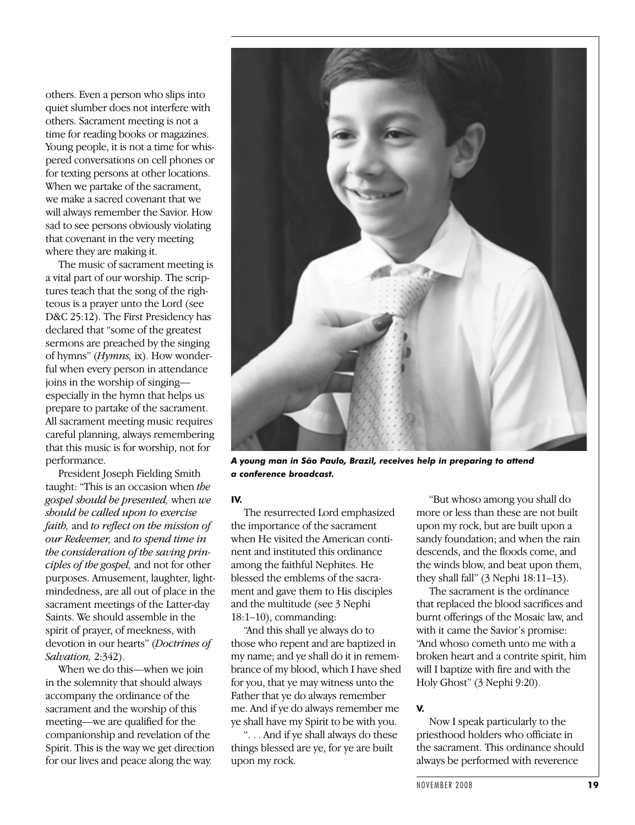others. Even a person who slips into quiet slumber does not interfere with others. Sacrament meeting is not a time for reading books or magazines. Young people, it is not a time for whispered conversations on cell phones or for texting persons at other locations. When we partake of the sacrament, we make a sacred covenant that we will always remember the Savior. How sad to see persons obviously violating that covenant in the very meeting where they are making it.

The music of sacrament meeting is a vital part of our worship. The scriptures teach that the song of the righteous is a prayer unto the Lord (see D&C 25:12). The First Presidency has declared that "some of the greatest sermons are preached by the singing of hymns" (*Hymns,* ix). How wonderful when every person in attendance joins in the worship of singing especially in the hymn that helps us prepare to partake of the sacrament. All sacrament meeting music requires careful planning, always remembering that this music is for worship, not for performance.

President Joseph Fielding Smith taught: "This is an occasion when *the gospel should be presented,* when *we should be called upon to exercise faith,* and *to reflect on the mission of our Redeemer,* and *to spend time in the consideration of the saving principles of the gospel,* and not for other purposes. Amusement, laughter, lightmindedness, are all out of place in the sacrament meetings of the Latter-day Saints. We should assemble in the spirit of prayer, of meekness, with devotion in our hearts" (*Doctrines of Salvation,* 2:342).

When we do this—when we join in the solemnity that should always accompany the ordinance of the sacrament and the worship of this meeting—we are qualified for the companionship and revelation of the Spirit. This is the way we get direction for our lives and peace along the way.



*A young man in São Paulo, Brazil, receives help in preparing to attend a conference broadcast.*

### **IV.**

The resurrected Lord emphasized the importance of the sacrament when He visited the American continent and instituted this ordinance among the faithful Nephites. He blessed the emblems of the sacrament and gave them to His disciples and the multitude (see 3 Nephi 18:1–10), commanding:

"And this shall ye always do to those who repent and are baptized in my name; and ye shall do it in remembrance of my blood, which I have shed for you, that ye may witness unto the Father that ye do always remember me. And if ye do always remember me ye shall have my Spirit to be with you.

". . . And if ye shall always do these things blessed are ye, for ye are built upon my rock.

"But whoso among you shall do more or less than these are not built upon my rock, but are built upon a sandy foundation; and when the rain descends, and the floods come, and the winds blow, and beat upon them, they shall fall" (3 Nephi 18:11–13).

The sacrament is the ordinance that replaced the blood sacrifices and burnt offerings of the Mosaic law, and with it came the Savior's promise: "And whoso cometh unto me with a broken heart and a contrite spirit, him will I baptize with fire and with the Holy Ghost" (3 Nephi 9:20).

## **V.**

Now I speak particularly to the priesthood holders who officiate in the sacrament. This ordinance should always be performed with reverence